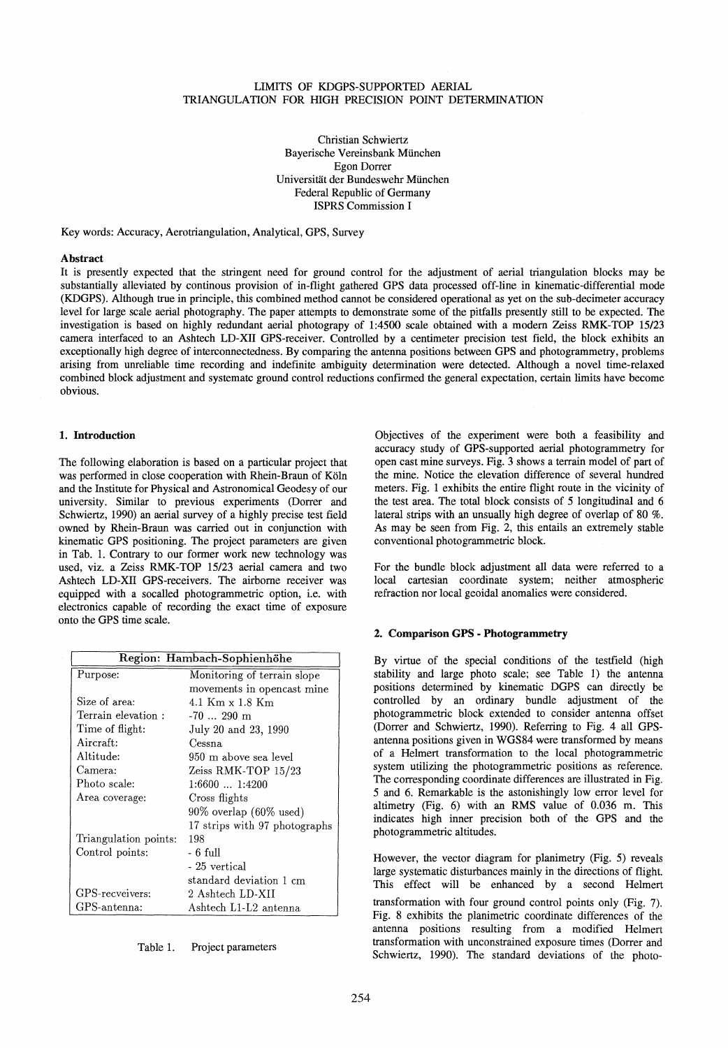# LIMITS OF KDGPS-SUPPORTED AERIAL TRIANGULATION FOR HIGH PRECISION POINT DETERMINATION

Christian Schwiertz Bayerische Vereinsbank München Egon Dorrer Universität der Bundeswehr München Federal Republic of Germany ISPRS Commission I

Key words: Accuracy, Aerotriangulation, Analytical, GPS, Survey

#### **A** hstract

It is presently expected that the stringent need for ground control for the adjustment of aerial triangulation blocks may be substantially alleviated by continous provision of in-flight gathered GPS data processed off-line in kinematic-differential mode (KDGPS). Although true in principle, this combined method cannot be considered operational as yet on the sub-decimeter accuracy level for large scale aerial photography. The paper attempts to demonstrate some of the pitfalls presently still to be expected. The investigation is based on highly redundant aerial photograpy of 1:4500 scale obtained with a modern Zeiss RMK-TOP 15/23 camera interfaced to an Ashtech LD-XU GPS-receiver. Controlled by a centimeter precision test field, the block exhibits an exceptionally high degree of interconnectedness. By comparing the antenna positions between GPS and photogrammetry, problems arising from unreliable time recording and indefinite ambiguity determination were detected. Although a novel time-relaxed combined block adjustment and systematc ground control reductions confirmed the general expectation, certain limits have become obvious.

# 1. Introduction

The following elaboration is based on a particular project that was performed in elose cooperation with Rhein-Braun of Köln and the Institute for Physical and Astronomical Geodesy of our university. Similar to previous experiments (Dorrer and Schwiertz, 1990) an aerial survey of a highly precise test field owned by Rhein-Braun was carried out in conjunction with kinematic GPS positioning. The project parameters are given in Tab. 1. Contrary to our former work new technology was used, viz. a Zeiss RMK -TOP 15/23 aerial camera and two Ashtech LD-XU GPS-receivers. The airborne receiver was equipped with a socalled photogrammetric option, i.e. with electronics capable of recording the exact time of exposure onto the GPS time scale.

| Region: Hambach-Sophienhöhe |                                      |  |
|-----------------------------|--------------------------------------|--|
| Purpose:                    | Monitoring of terrain slope          |  |
|                             | movements in opencast mine           |  |
| Size of area:               | 4.1 Km x 1.8 Km                      |  |
| Terrain elevation:          | $-70$ 290 m                          |  |
| Time of flight:             | July 20 and 23, 1990                 |  |
| Aircraft:                   | Cessna                               |  |
| Altitude:                   | 950 m above sea level                |  |
| $\rm{Camera:}$              | Zeiss RMK-TOP 15/23                  |  |
| Photo scale:                | 1:66001:4200                         |  |
| Area coverage:              | Cross flights                        |  |
|                             | $90\%$ overlap $(60\% \text{ used})$ |  |
|                             | 17 strips with 97 photographs        |  |
| Triangulation points:       | 198                                  |  |
| Control points:             | - 6 full                             |  |
|                             | - 25 vertical                        |  |
|                             | standard deviation 1 cm              |  |
| GPS-recveivers:             | 2 Ashtech LD-XII                     |  |
| GPS-antenna:                | Ashtech L1-L2 antenna                |  |

Table 1. Project parameters

Objectives of the experiment were both a feasibility and accuracy study of GPS-supported aerial photogrammetry for open cast mine surveys. Fig. 3 shows a terrain model of part of the mine. Notice the elevation difference of several hundred meters. Fig. 1 exhibits the entire flight route in the vicinity of the test area. The total block consists of 5 longitudinal and 6 lateral strips with an unsually high degree of overlap of 80 %. As may be seen from Fig. 2, this entails an extremely stable conventional photogrammetric block.

For the bundle block adjustment all data were referred to a Iocal cartesian co ordinate system; neither atmospheric refraction nor local geoidal anomalies were considered.

### 2. Comparison GPS - Photogrammetry

By virtue of the special conditions of the testfield (high stability and large photo scale; see Table 1) the antenna positions determined by kinematic DGPS can directly be controlled by an ordinary bundle adjustment of the photogrammetric block extended to consider antenna offset (Dorrer and Schwiertz, 1990). Referring to Fig. 4 all GPSantenna positions given in WGS84 were transformed by means of a Helmert transformation to the local photogrammetric system utilizing the photogrammetric positions as reference. The corresponding coordinate differences are illustrated in Fig. 5 and 6. Remarkable is the astonishingly low error level for altimetry (Fig. 6) with an RMS value of 0.036 m. This indicates high inner precision both of the GPS and the photogrammetric altitudes.

However, the vector diagram for planimetry (Fig. 5) reveals large systematic disturbances mainly in the directions of flight. This effect will be enhanced by a second Helmert transformation with four ground control points only (Fig. 7). Fig. 8 exhibits the planimetric coordinate differences of the antenna positions resulting from a modified Helmert transformation with unconstrained exposure times (Dorrer and Schwiertz, 1990). The standard deviations of the photo-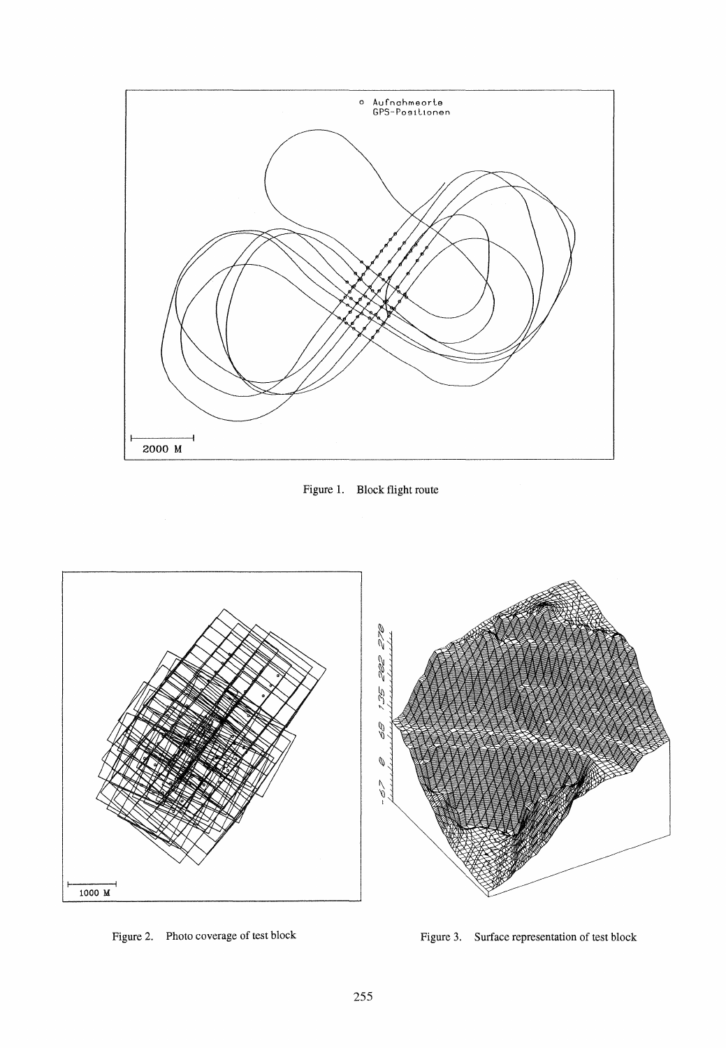





Figure 2. Photo coverage of test block

Figure 3. Surface representation of test block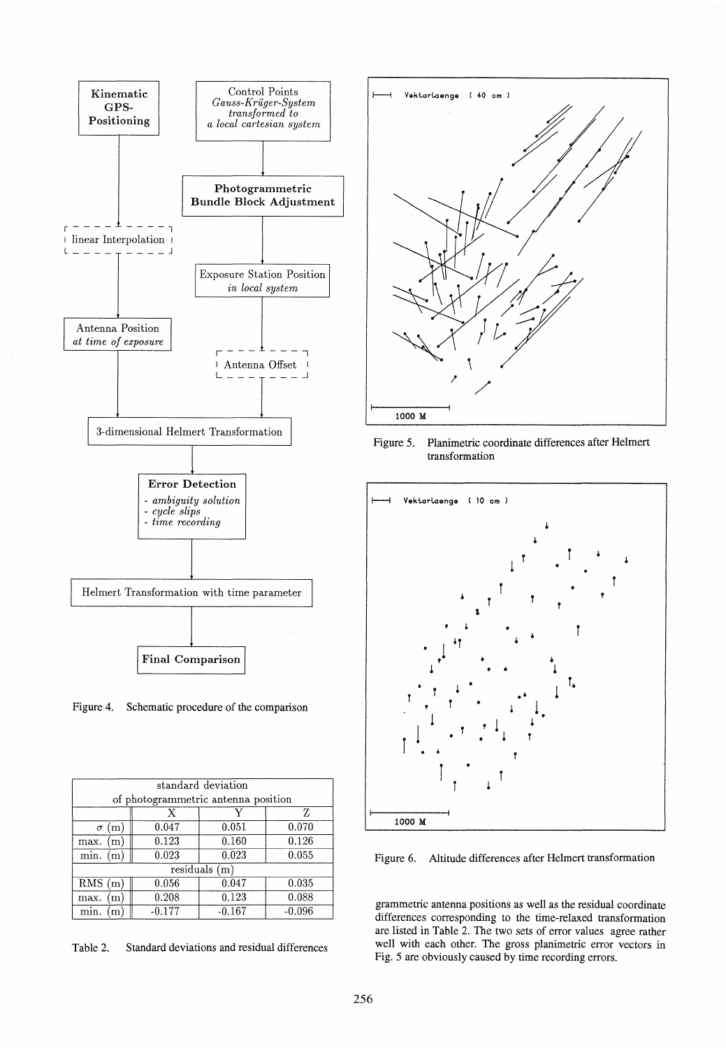

Figure 4. Schematic procedure of the comparison

| standard deviation                  |          |          |          |  |
|-------------------------------------|----------|----------|----------|--|
| of photogrammetric antenna position |          |          |          |  |
|                                     | X        |          | 7.       |  |
| (m <sub>1</sub> )<br>$\sigma$       | 0.047    | 0.051    | 0.070    |  |
| max.<br>(m)                         | 0.123    | 0.160    | 0.126    |  |
| min.<br>(m)                         | 0.023    | 0.023    | 0.055    |  |
| $residuals$ (m)                     |          |          |          |  |
| RMS(m)                              | 0.056    | 0.047    | 0.035    |  |
| max.<br>m                           | 0.208    | 0.123    | 0.088    |  |
| min.<br>m                           | $-0.177$ | $-0.167$ | $-0.096$ |  |

Table 2. Standard deviations and residual differenees



Figure 5. Planimetrie eoordinate differenees after Helmert transformation



Figure 6. Altitude differenees after Helmert transformation

grammetrie antenna positions as well as the residual eoordinate differenees eorresponding to the time-relaxed transformation are listed in Table 2. The two sets of error values agree rather well with each other. The gross planimetric error vectors in Fig. 5 are obviously eaused by time reeording errors.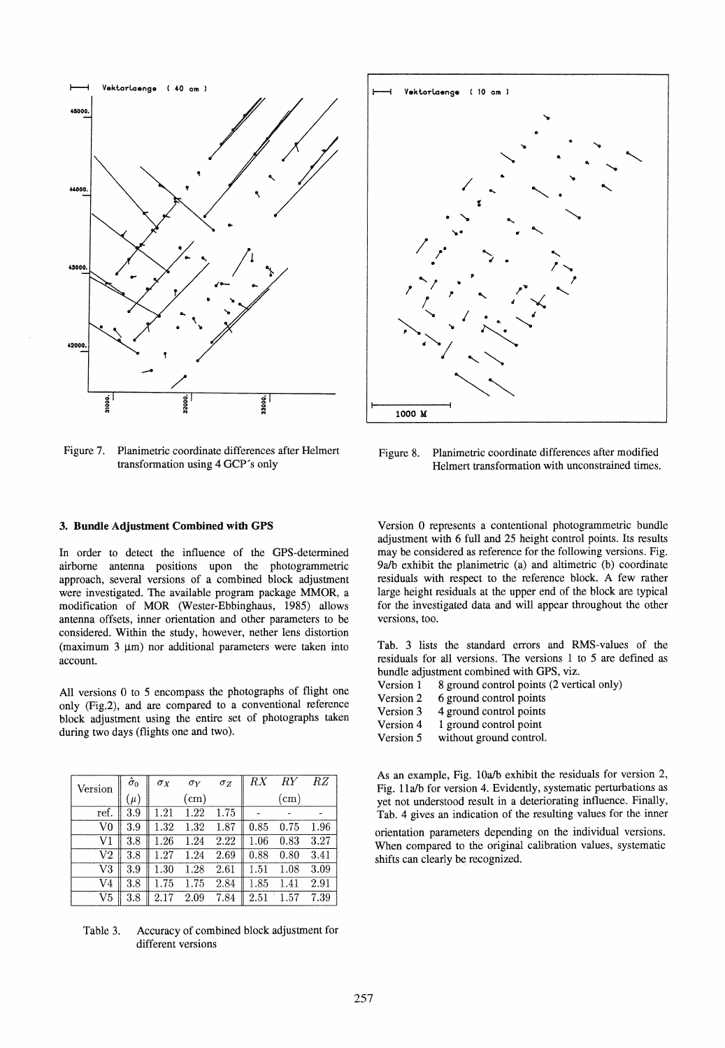

Figure 7. Planimetrie coordinate differences after Helmert transformation using 4 GCP's only



Figure 8. Planimetrie coordinate differences after modified Helmert transformation with unconstrained times.

### 3. Bundle Adjustment Combined with GPS

In order to detect the influence of the GPS-determined airbome antenna positions upon the photogrammetric approach, several versions of a combined block adjustment were investigated. The available program package MMOR, a modification of MOR (Wester-Ebbinghaus, 1985) allows antenna offsets, inner orientation and other parameters to be considered. Within the study, however, nether lens distortion (maximum  $3 \mu m$ ) nor additional parameters were taken into account.

All versions 0 to 5 encompass the photographs of flight one only (Fig.2), and are compared to a conventional reference block adjustment using the entire set of photographs taken during two days (flights one and two).

| Version     | $\hat{\sigma}_0$ | $\sigma_X$ | $\sigma_Y$ | $\sigma_Z$ | RX       | $RY$ $RZ$  |      |
|-------------|------------------|------------|------------|------------|----------|------------|------|
|             | $(\mu)$          |            | $\rm (cm)$ |            |          | $\rm (cm)$ |      |
| ref.        | 3.9              | 1.21       | 1.22       | 1.75       |          |            |      |
| $_{\rm V0}$ | 3.9              | 1.32       | 1.32       | 1.87       | 0.85     | 0.75       | 1.96 |
| V1          | 3.8              | 1.26       | 1.24       | 2.22       | 1.06     | 0.83       | 3.27 |
| V2          | 3.8              | 1.27       | 1.24       | 2.69       | 0.88     | 0.80       | 3.41 |
| V3          | 3.9              | 1.30       | 1.28       | 2.61       | 1.51     | 1.08       | 3.09 |
| V4          | $3.8\,$          | 1.75       | 1.75       | 2.84       | $1.85\,$ | .41        | 2.91 |
| V5          | $3.8\,$          | 2.17       | 2.09       | 7.84       | 2.51     | 1.57       | 7.39 |

Table 3. Accuracy of combined block adjustment for different versions

Version 0 represents a contentional photogrammetric bundle adjustment with 6 full and 25 height control points. Its results may be considered as reference for the following versions. Fig. 9a/b exhibit the planimetric (a) and altimetric (b) coordinate residuals with respect to the reference block. A few rather large height residuals at the upper end of the block are typical for the investigated data and will appear throughout the other versions, too.

Tab. 3 lists the standard errors and RMS-values of the residuals for all versions. The versions I to 5 are defined as bundle adjustment combined with GPS, viz.

- Version 1 8 ground control points (2 vertical only)
- Version 2 6 ground control points
- Version 3 4 ground control points
- Version 4 1 ground control point
- Version 5 without ground control.

As an example, Fig. 10a/b exhibit the residuals for version 2, Fig. 11a/b for version 4. Evidently, systematic perturbations as yet not understood result in a deteriorating influence. Finally, Tab. 4 gives an indication of the resulting values for the inner

orientation parameters depending on the individual versions. When compared to the original calibration values, systematic shifts can clearly be recognized.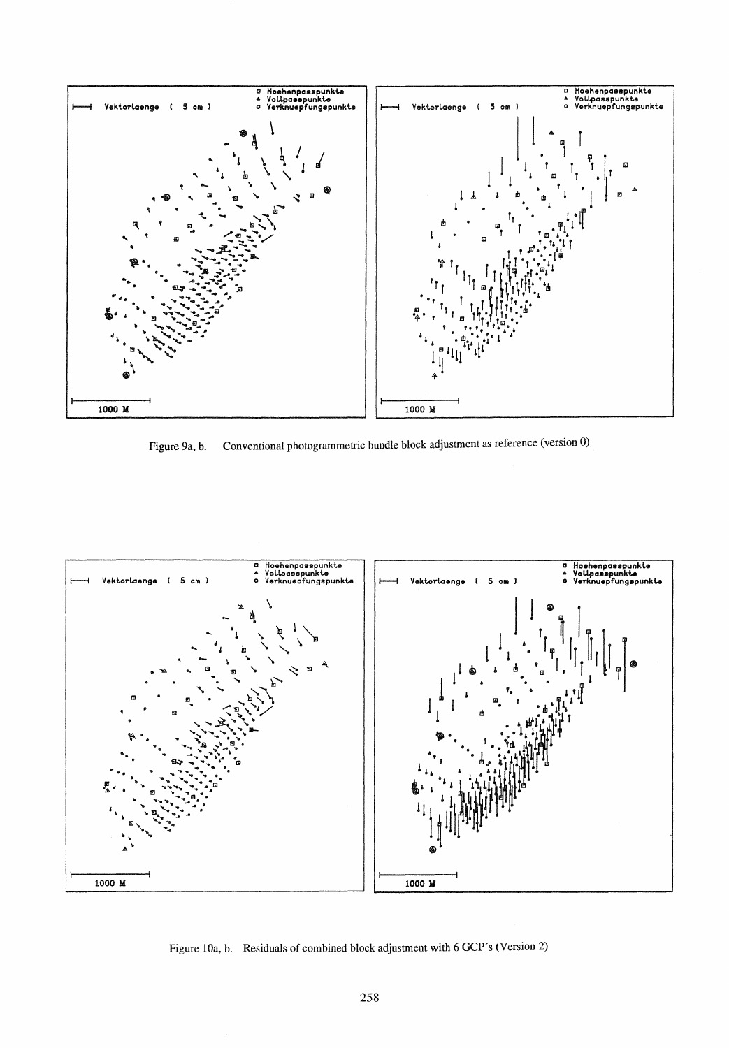

Figure 9a, b. Conventional photogrammetric bundle block adjustment as reference (version 0)



Figure lOa, b. Residuals of combined block adjustment with 6 GCP's (Version 2)